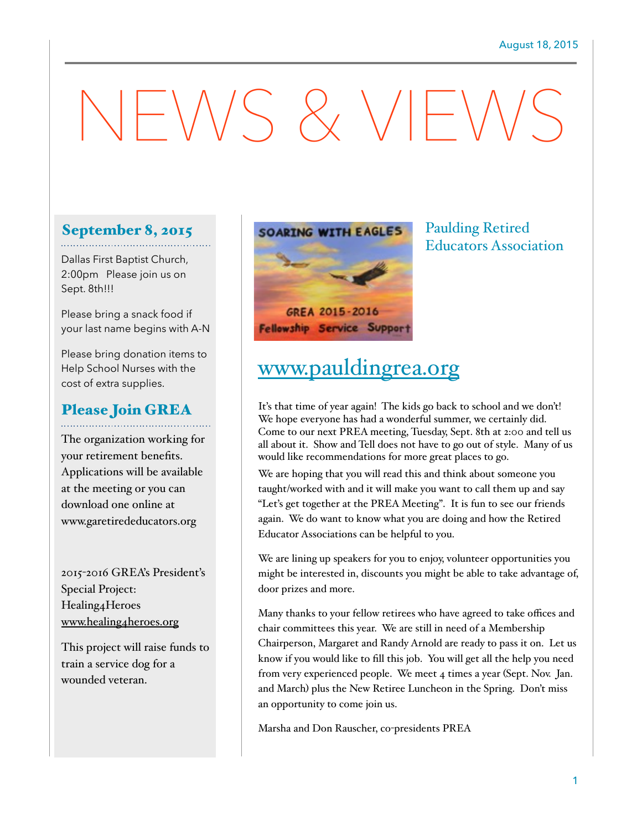# $-NSS$   $\times$   $V$  $\vdash$

## September 8, 2015

Dallas First Baptist Church, 2:00pm Please join us on Sept. 8th!!!

Please bring a snack food if your last name begins with A-N

Please bring donation items to Help School Nurses with the cost of extra supplies.

## Please Join GREA

The organization working for your retirement benefits. Applications will be available at the meeting or you can download one online at www.garetirededucators.org

2015-2016 GREA's President's Special Project: Healing4Heroes [www.healing4heroes.org](http://www.healing4heroes.org)

This project will raise funds to train a service dog for a wounded veteran.



Paulding Retired

Educators Association

# [www.pauldingrea.org](http://www.pauldingrea.org)

It's that time of year again! The kids go back to school and we don't! We hope everyone has had a wonderful summer, we certainly did. Come to our next PREA meeting, Tuesday, Sept. 8th at 2:00 and tell us all about it. Show and Tell does not have to go out of style. Many of us would like recommendations for more great places to go.

We are hoping that you will read this and think about someone you taught/worked with and it will make you want to call them up and say "Let's get together at the PREA Meeting". It is fun to see our friends again. We do want to know what you are doing and how the Retired Educator Associations can be helpful to you.

We are lining up speakers for you to enjoy, volunteer opportunities you might be interested in, discounts you might be able to take advantage of, door prizes and more.

Many thanks to your fellow retirees who have agreed to take offices and chair committees this year. We are still in need of a Membership Chairperson, Margaret and Randy Arnold are ready to pass it on. Let us know if you would like to fill this job. You will get all the help you need from very experienced people. We meet 4 times a year (Sept. Nov. Jan. and March) plus the New Retiree Luncheon in the Spring. Don't miss an opportunity to come join us.

Marsha and Don Rauscher, co-presidents PREA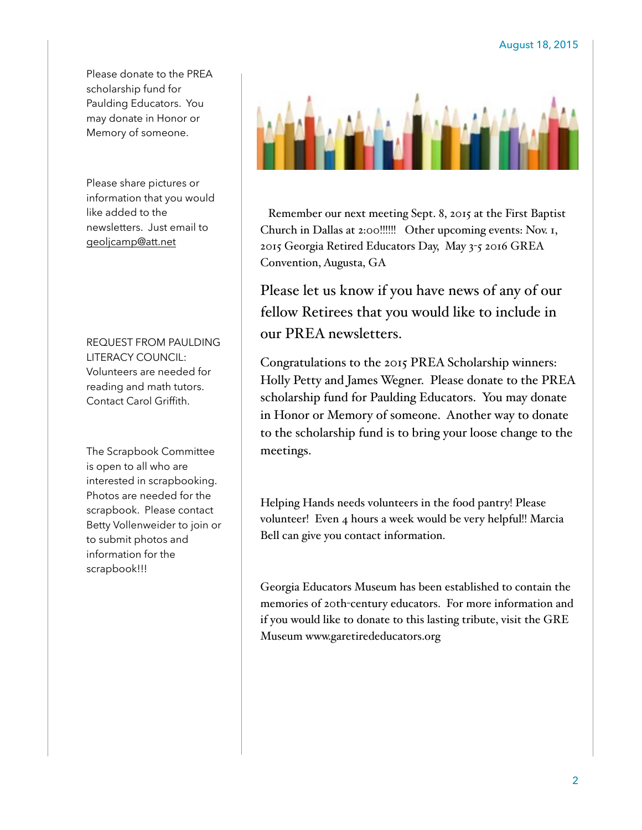Please donate to the PREA scholarship fund for Paulding Educators. You may donate in Honor or Memory of someone.

Please share pictures or information that you would like added to the newsletters. Just email to [geoljcamp@att.net](mailto:geoljcamp@att.net)

REQUEST FROM PAULDING LITERACY COUNCIL: Volunteers are needed for reading and math tutors. Contact Carol Griffith.

The Scrapbook Committee is open to all who are interested in scrapbooking. Photos are needed for the scrapbook. Please contact Betty Vollenweider to join or to submit photos and information for the scrapbook!!!



 Remember our next meeting Sept. 8, 2015 at the First Baptist Church in Dallas at 2:00!!!!!! Other upcoming events: Nov. 1, 2015 Georgia Retired Educators Day, May 3-5 2016 GREA Convention, Augusta, GA

Please let us know if you have news of any of our fellow Retirees that you would like to include in our PREA newsletters.

Congratulations to the 2015 PREA Scholarship winners: Holly Petty and James Wegner. Please donate to the PREA scholarship fund for Paulding Educators. You may donate in Honor or Memory of someone. Another way to donate to the scholarship fund is to bring your loose change to the meetings.

Helping Hands needs volunteers in the food pantry! Please volunteer! Even 4 hours a week would be very helpful!! Marcia Bell can give you contact information.

Georgia Educators Museum has been established to contain the memories of 20th-century educators. For more information and if you would like to donate to this lasting tribute, visit the GRE Museum www.garetirededucators.org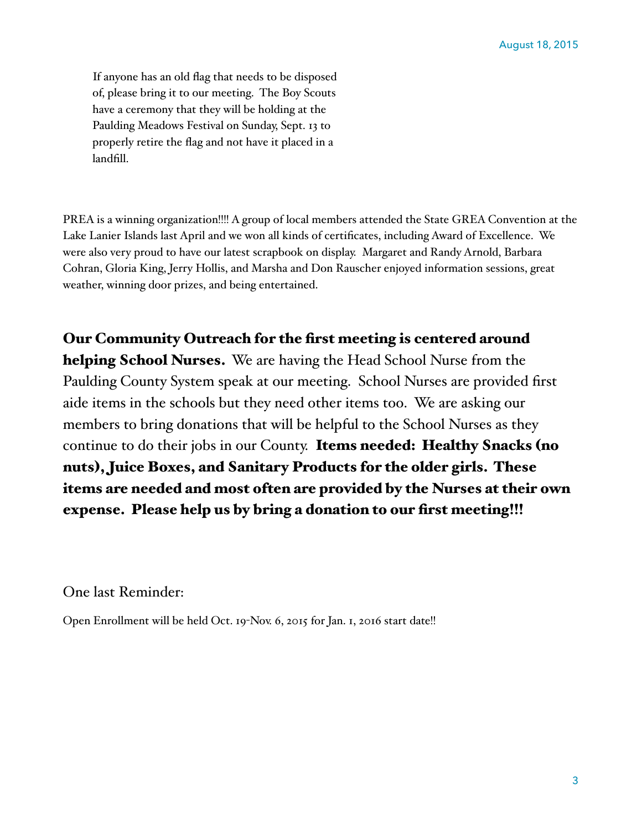If anyone has an old flag that needs to be disposed of, please bring it to our meeting. The Boy Scouts have a ceremony that they will be holding at the Paulding Meadows Festival on Sunday, Sept. 13 to properly retire the flag and not have it placed in a landfill.

PREA is a winning organization!!!! A group of local members attended the State GREA Convention at the Lake Lanier Islands last April and we won all kinds of certificates, including Award of Excellence. We were also very proud to have our latest scrapbook on display. Margaret and Randy Arnold, Barbara Cohran, Gloria King, Jerry Hollis, and Marsha and Don Rauscher enjoyed information sessions, great weather, winning door prizes, and being entertained.

Our Community Outreach for the first meeting is centered around helping School Nurses. We are having the Head School Nurse from the Paulding County System speak at our meeting. School Nurses are provided first aide items in the schools but they need other items too. We are asking our members to bring donations that will be helpful to the School Nurses as they continue to do their jobs in our County. Items needed: Healthy Snacks (no nuts), Juice Boxes, and Sanitary Products for the older girls. These items are needed and most often are provided by the Nurses at their own expense. Please help us by bring a donation to our first meeting!!!

One last Reminder:

Open Enrollment will be held Oct. 19-Nov. 6, 2015 for Jan. 1, 2016 start date!!